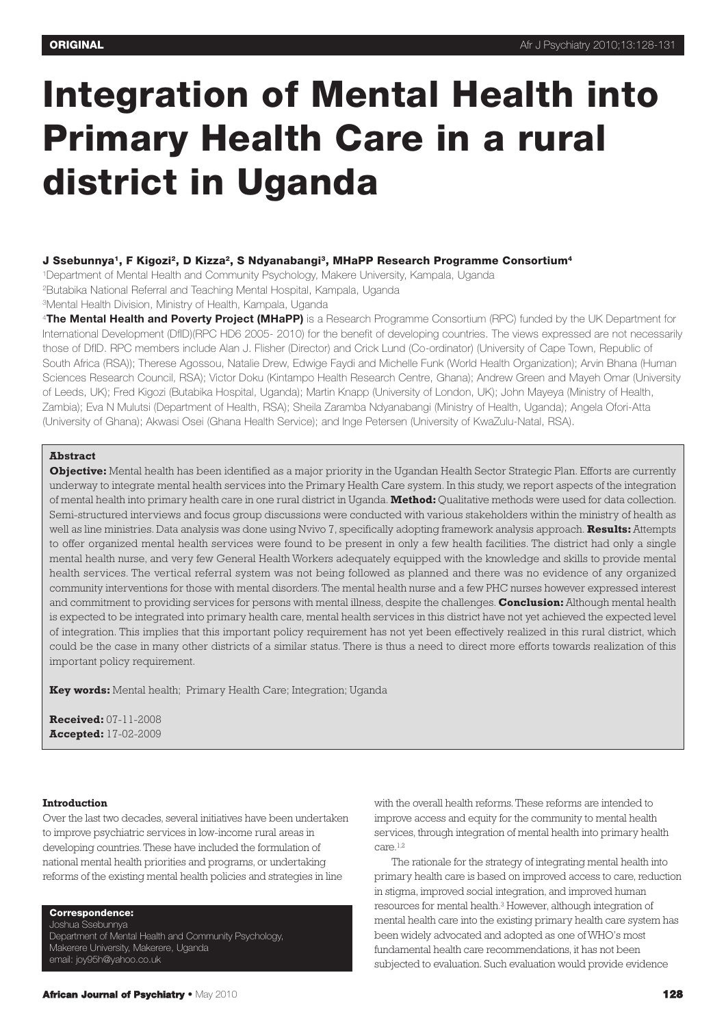# **Integration of Mental Health into Primary Health Care in a rural district in Uganda**

# **J Ssebunnya1, F Kigozi2, D Kizza2, S Ndyanabangi3, MHaPP Research Programme Consortium4**

1Department of Mental Health and Community Psychology, Makere University, Kampala, Uganda 2Butabika National Referral and Teaching Mental Hospital, Kampala, Uganda

3Mental Health Division, Ministry of Health, Kampala, Uganda

<sup>4</sup>**The Mental Health and Poverty Project (MHaPP)** is a Research Programme Consortium (RPC) funded by the UK Department for International Development (DfID)(RPC HD6 2005- 2010) for the benefit of developing countries. The views expressed are not necessarily those of DfID. RPC members include Alan J. Flisher (Director) and Crick Lund (Co-ordinator) (University of Cape Town, Republic of South Africa (RSA)); Therese Agossou, Natalie Drew, Edwige Faydi and Michelle Funk (World Health Organization); Arvin Bhana (Human Sciences Research Council, RSA); Victor Doku (Kintampo Health Research Centre, Ghana); Andrew Green and Mayeh Omar (University of Leeds, UK); Fred Kigozi (Butabika Hospital, Uganda); Martin Knapp (University of London, UK); John Mayeya (Ministry of Health, Zambia); Eva N Mulutsi (Department of Health, RSA); Sheila Zaramba Ndyanabangi (Ministry of Health, Uganda); Angela Ofori-Atta (University of Ghana); Akwasi Osei (Ghana Health Service); and Inge Petersen (University of KwaZulu-Natal, RSA).

# **Abstract**

**Objective:** Mental health has been identified as a major priority in the Ugandan Health Sector Strategic Plan. Efforts are currently underway to integrate mental health services into the Primary Health Care system. In this study, we report aspects of the integration of mental health into primary health care in one rural district in Uganda. **Method:**Qualitative methods were used for data collection. Semi-structured interviews and focus group discussions were conducted with various stakeholders within the ministry of health as well as line ministries. Data analysis was done using Nvivo 7, specifically adopting framework analysis approach. **Results:**Attempts to offer organized mental health services were found to be present in only a few health facilities. The district had only a single mental health nurse, and very few General Health Workers adequately equipped with the knowledge and skills to provide mental health services. The vertical referral system was not being followed as planned and there was no evidence of any organized community interventions for those with mental disorders. The mental health nurse and a few PHC nurses however expressed interest and commitment to providing services for persons with mental illness, despite the challenges. **Conclusion:**Although mental health is expected to be integrated into primary health care, mental health services in this district have not yet achieved the expected level of integration. This implies that this important policy requirement has not yet been effectively realized in this rural district, which could be the case in many other districts of a similar status. There is thus a need to direct more efforts towards realization of this important policy requirement.

**Key words:** Mental health; Primary Health Care; Integration; Uganda

**Received:** 07-11-2008 **Accepted:** 17-02-2009

#### **Introduction**

Over the last two decades, several initiatives have been undertaken to improve psychiatric services in low-income rural areas in developing countries.These have included the formulation of national mental health priorities and programs, or undertaking reforms of the existing mental health policies and strategies in line

**Correspondence:** Joshua Ssebunnya

Department of Mental Health and Community Psychology, Makerere University, Makerere, Uganda email: joy95h@yahoo.co.uk

improve access and equity for the community to mental health services, through integration of mental health into primary health care. 1,2 The rationale for the strategy of integrating mental health into

with the overall health reforms.These reforms are intended to

primary health care is based on improved access to care, reduction in stigma, improved social integration, and improved human resources for mental health. <sup>3</sup> However, although integration of mental health care into the existing primary health care system has been widely advocated and adopted as one of WHO's most fundamental health care recommendations, it has not been subjected to evaluation. Such evaluation would provide evidence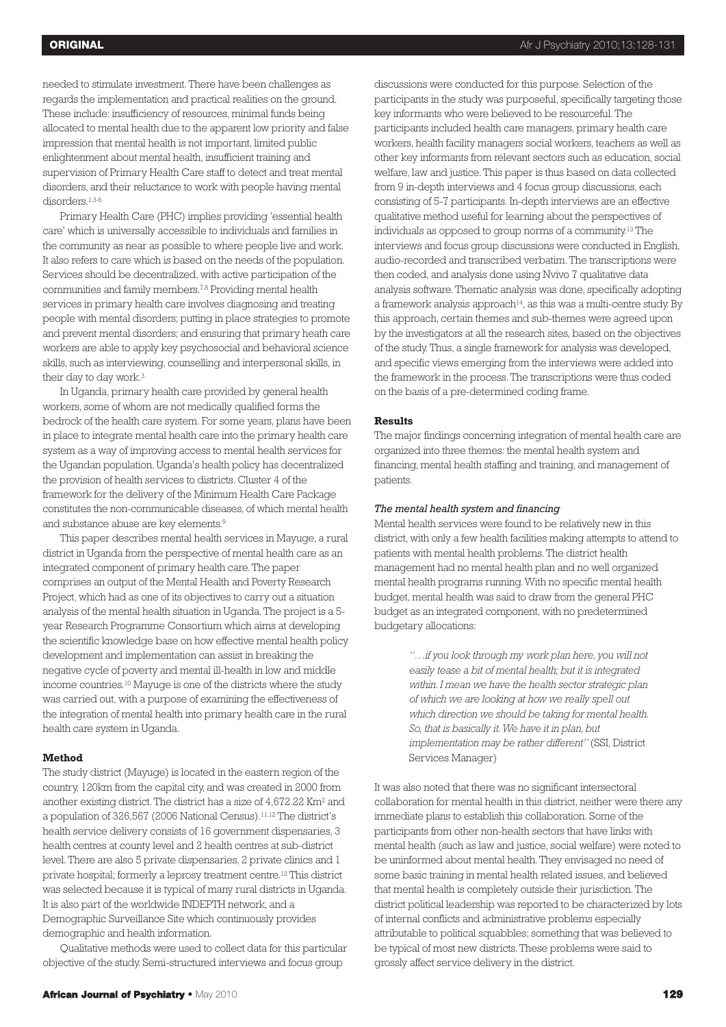needed to stimulate investment.There have been challenges as regards the implementation and practical realities on the ground. These include: insufficiency of resources, minimal funds being allocated to mental health due to the apparent low priority and false impression that mental health is not important, limited public enlightenment about mental health, insufficient training and supervision of Primary Health Care staff to detect and treat mental disorders, and their reluctance to work with people having mental disorders. 1,3-6

Primary Health Care (PHC) implies providing 'essential health care' which is universally accessible to individuals and families in the community as near as possible to where people live and work. It also refers to care which is based on the needs of the population. Services should be decentralized, with active participation of the communities and family members. 7,8 Providing mental health services in primary health care involves diagnosing and treating people with mental disorders; putting in place strategies to promote and prevent mental disorders; and ensuring that primary heath care workers are able to apply key psychosocial and behavioral science skills, such as interviewing, counselling and interpersonal skills, in their day to day work. 3

In Uganda, primary health care provided by general health workers, some of whom are not medically qualified forms the bedrock of the health care system. For some years, plans have been in place to integrate mental health care into the primary health care system as a way of improving access to mental health services for the Ugandan population. Uganda's health policy has decentralized the provision of health services to districts. Cluster 4 of the framework for the delivery of the Minimum Health Care Package constitutes the non-communicable diseases, of which mental health and substance abuse are key elements. 9

This paper describes mental health services in Mayuge, a rural district in Uganda from the perspective of mental health care as an integrated component of primary health care.The paper comprises an output of the Mental Health and Poverty Research Project, which had as one of its objectives to carry out a situation analysis of the mental health situation in Uganda.The project is a 5 year Research Programme Consortium which aims at developing the scientific knowledge base on how effective mental health policy development and implementation can assist in breaking the negative cycle of poverty and mental ill-health in low and middle income countries. <sup>10</sup> Mayuge is one of the districts where the study was carried out, with a purpose of examining the effectiveness of the integration of mental health into primary health care in the rural health care system in Uganda.

## **Method**

The study district (Mayuge) is located in the eastern region of the country, 120km from the capital city, and was created in 2000 from another existing district.The district has a size of 4,672.22 Km2 and a population of 326,567 (2006 National Census). 11,12 The district's health service delivery consists of 16 government dispensaries, 3 health centres at county level and 2 health centres at sub-district level.There are also 5 private dispensaries, 2 private clinics and 1 private hospital; formerly a leprosy treatment centre. <sup>12</sup> This district was selected because it is typical of many rural districts in Uganda. It is also part of the worldwide INDEPTH network, and a Demographic Surveillance Site which continuously provides demographic and health information.

Qualitative methods were used to collect data for this particular objective of the study. Semi-structured interviews and focus group

discussions were conducted for this purpose. Selection of the participants in the study was purposeful, specifically targeting those key informants who were believed to be resourceful.The participants included health care managers, primary health care workers, health facility managers social workers, teachers as well as other key informants from relevant sectors such as education, social welfare, law and justice.This paper is thus based on data collected from 9 in-depth interviews and 4 focus group discussions, each consisting of 5-7 participants. In-depth interviews are an effective qualitative method useful for learning about the perspectives of individuals as opposed to group norms of a community. <sup>13</sup> The interviews and focus group discussions were conducted in English, audio-recorded and transcribed verbatim.The transcriptions were then coded, and analysis done using Nvivo 7 qualitative data analysis software.Thematic analysis was done, specifically adopting a framework analysis approach $14$ , as this was a multi-centre study. By this approach, certain themes and sub-themes were agreed upon by the investigators at all the research sites, based on the objectives of the study.Thus, a single framework for analysis was developed, and specific views emerging from the interviews were added into the framework in the process.The transcriptions were thus coded on the basis of a pre-determined coding frame.

## **Results**

The major findings concerning integration of mental health care are organized into three themes: the mental health system and financing, mental health staffing and training, and management of patients.

### *The mental health system and financing*

Mental health services were found to be relatively new in this district, with only a few health facilities making attempts to attend to patients with mental health problems.The district health management had no mental health plan and no well organized mental health programs running.With no specific mental health budget, mental health was said to draw from the general PHC budget as an integrated component, with no predetermined budgetary allocations:

> *"…if you look through my work plan here, you will not easily tease a bit of mental health; but it is integrated within. I mean we have the health sector strategic plan of which we are looking at how we really spell out which direction we should be taking for mental health. So, that is basically it.We have it in plan, but implementation may be rather different"* (SSI, District Services Manager)

It was also noted that there was no significant intersectoral collaboration for mental health in this district, neither were there any immediate plans to establish this collaboration. Some of the participants from other non-health sectors that have links with mental health (such as law and justice, social welfare) were noted to be uninformed about mental health.They envisaged no need of some basic training in mental health related issues, and believed that mental health is completely outside their jurisdiction.The district political leadership was reported to be characterized by lots of internal conflicts and administrative problems especially attributable to political squabbles; something that was believed to be typical of most new districts.These problems were said to grossly affect service delivery in the district.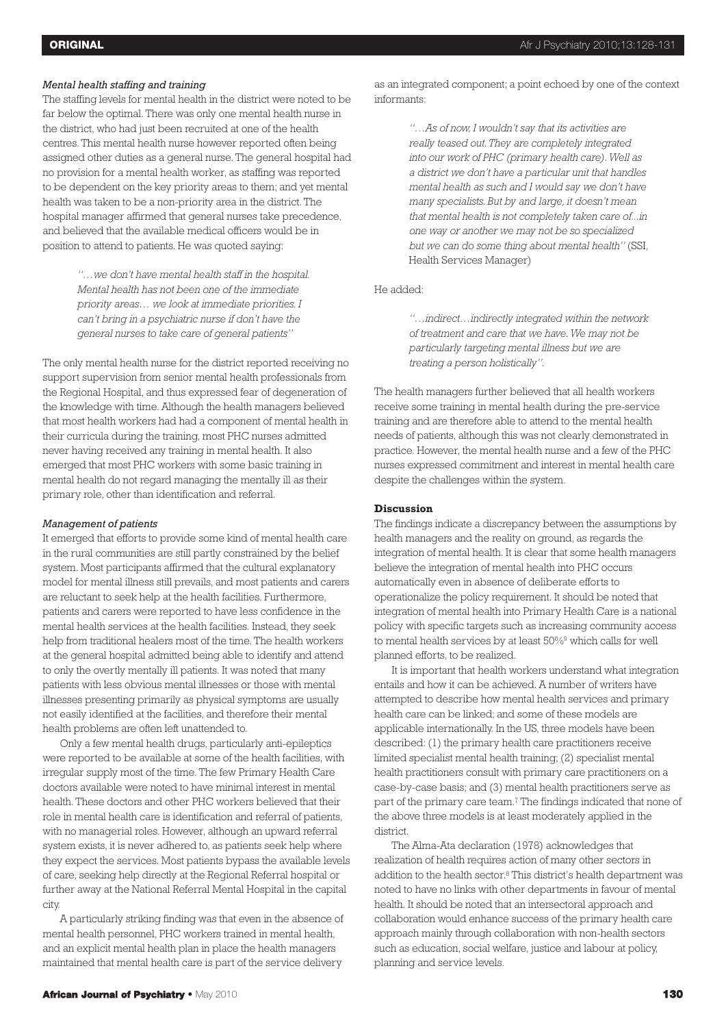# *Mental health staffing and training*

The staffing levels for mental health in the district were noted to be far below the optimal. There was only one mental health nurse in the district, who had just been recruited at one of the health centres. This mental health nurse however reported often being assigned other duties as a general nurse. The general hospital had no provision for a mental health worker, as staffing was reported to be dependent on the key priority areas to them; and yet mental health was taken to be a non-priority area in the district. The hospital manager affirmed that general nurses take precedence, and believed that the available medical officers would be in position to attend to patients. He was quoted saying:

> *"…we don't have mental health staff in the hospital. Mental health has not been one of the immediate priority areas… we look at immediate priorities. I can't bring in a psychiatric nurse if don't have the general nurses to take care of general patients"*

The only mental health nurse for the district reported receiving no support supervision from senior mental health professionals from the Regional Hospital, and thus expressed fear of degeneration of the knowledge with time. Although the health managers believed that most health workers had had a component of mental health in their curricula during the training, most PHC nurses admitted never having received any training in mental health. It also emerged that most PHC workers with some basic training in mental health do not regard managing the mentally ill as their primary role, other than identification and referral.

#### *Management of patients*

It emerged that efforts to provide some kind of mental health care in the rural communities are still partly constrained by the belief system. Most participants affirmed that the cultural explanatory model for mental illness still prevails, and most patients and carers are reluctant to seek help at the health facilities. Furthermore, patients and carers were reported to have less confidence in the mental health services at the health facilities. Instead, they seek help from traditional healers most of the time. The health workers at the general hospital admitted being able to identify and attend to only the overtly mentally ill patients. It was noted that many patients with less obvious mental illnesses or those with mental illnesses presenting primarily as physical symptoms are usually not easily identified at the facilities, and therefore their mental health problems are often left unattended to.

Only a few mental health drugs, particularly anti-epileptics were reported to be available at some of the health facilities, with irregular supply most of the time. The few Primary Health Care doctors available were noted to have minimal interest in mental health. These doctors and other PHC workers believed that their role in mental health care is identification and referral of patients, with no managerial roles. However, although an upward referral system exists, it is never adhered to, as patients seek help where they expect the services. Most patients bypass the available levels of care, seeking help directly at the Regional Referral hospital or further away at the National Referral Mental Hospital in the capital city.

A particularly striking finding was that even in the absence of mental health personnel, PHC workers trained in mental health, and an explicit mental health plan in place the health managers maintained that mental health care is part of the service delivery

*"…As of now, I wouldn't say that its activities are really teased out.They are completely integrated into our work of PHC (primary health care).Well as a district we don't have a particular unit that handles mental health as such and I would say we don't have many specialists. But by and large, it doesn't mean that mental health is not completely taken care of...in one way or another we may not be so specialized but we can do some thing about mental health"* (SSI, Health Services Manager)

## He added:

*"…indirect…indirectly integrated within the network of treatment and care that we have.We may not be particularly targeting mental illness but we are treating a person holistically".*

The health managers further believed that all health workers receive some training in mental health during the pre-service training and are therefore able to attend to the mental health needs of patients, although this was not clearly demonstrated in practice. However, the mental health nurse and a few of the PHC nurses expressed commitment and interest in mental health care despite the challenges within the system.

#### **Discussion**

The findings indicate a discrepancy between the assumptions by health managers and the reality on ground, as regards the integration of mental health. It is clear that some health managers believe the integration of mental health into PHC occurs automatically even in absence of deliberate efforts to operationalize the policy requirement. It should be noted that integration of mental health into Primary Health Care is a national policy with specific targets such as increasing community access to mental health services by at least 50%9 which calls for well planned efforts, to be realized.

It is important that health workers understand what integration entails and how it can be achieved. A number of writers have attempted to describe how mental health services and primary health care can be linked; and some of these models are applicable internationally. In the US, three models have been described: (1) the primary health care practitioners receive limited specialist mental health training; (2) specialist mental health practitioners consult with primary care practitioners on a case-by-case basis; and (3) mental health practitioners serve as part of the primary care team. <sup>7</sup> The findings indicated that none of the above three models is at least moderately applied in the district.

The Alma-Ata declaration (1978) acknowledges that realization of health requires action of many other sectors in addition to the health sector. <sup>8</sup> This district's health department was noted to have no links with other departments in favour of mental health. It should be noted that an intersectoral approach and collaboration would enhance success of the primary health care approach mainly through collaboration with non-health sectors such as education, social welfare, justice and labour at policy, planning and service levels.